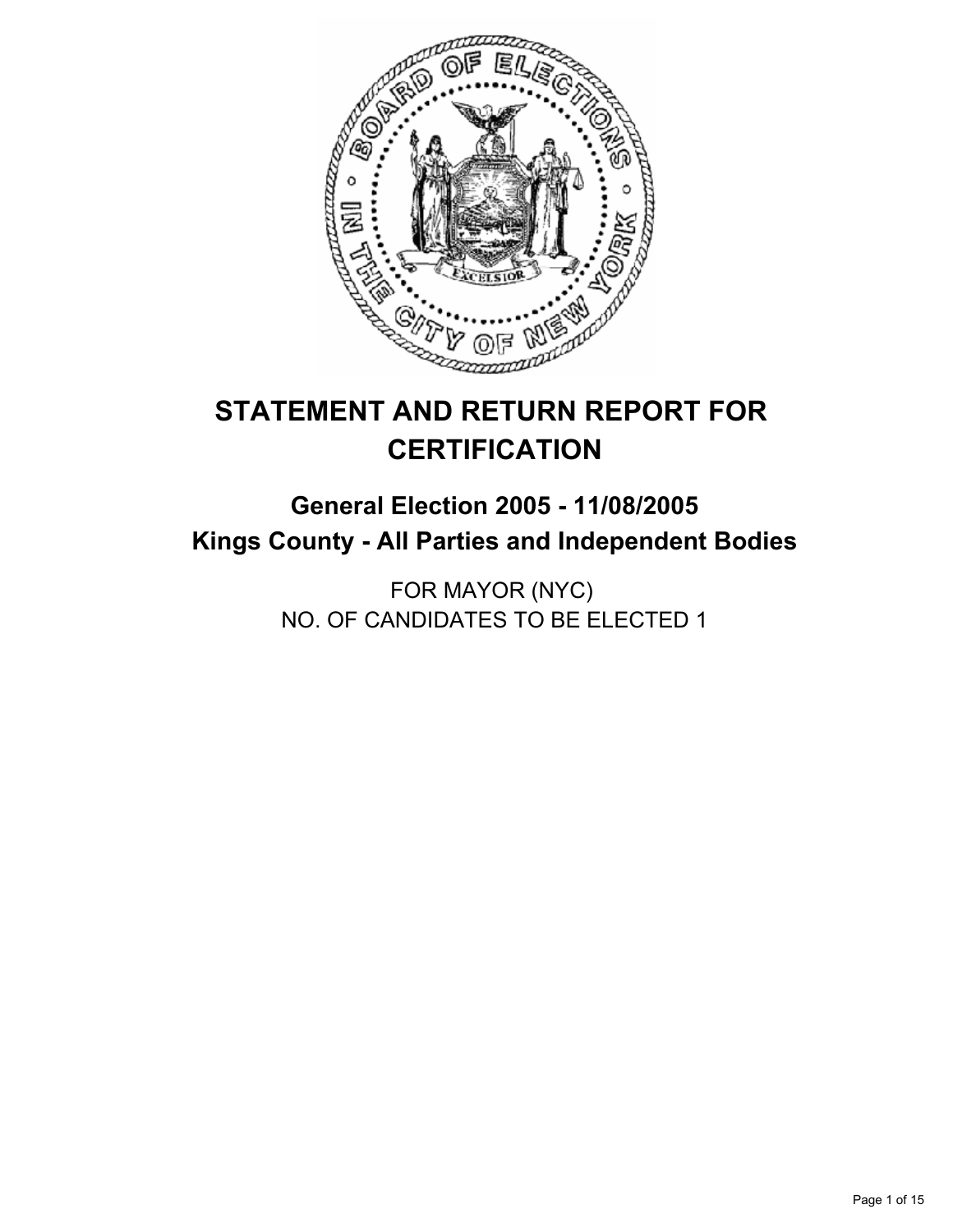

# **STATEMENT AND RETURN REPORT FOR CERTIFICATION**

## **General Election 2005 - 11/08/2005 Kings County - All Parties and Independent Bodies**

FOR MAYOR (NYC) NO. OF CANDIDATES TO BE ELECTED 1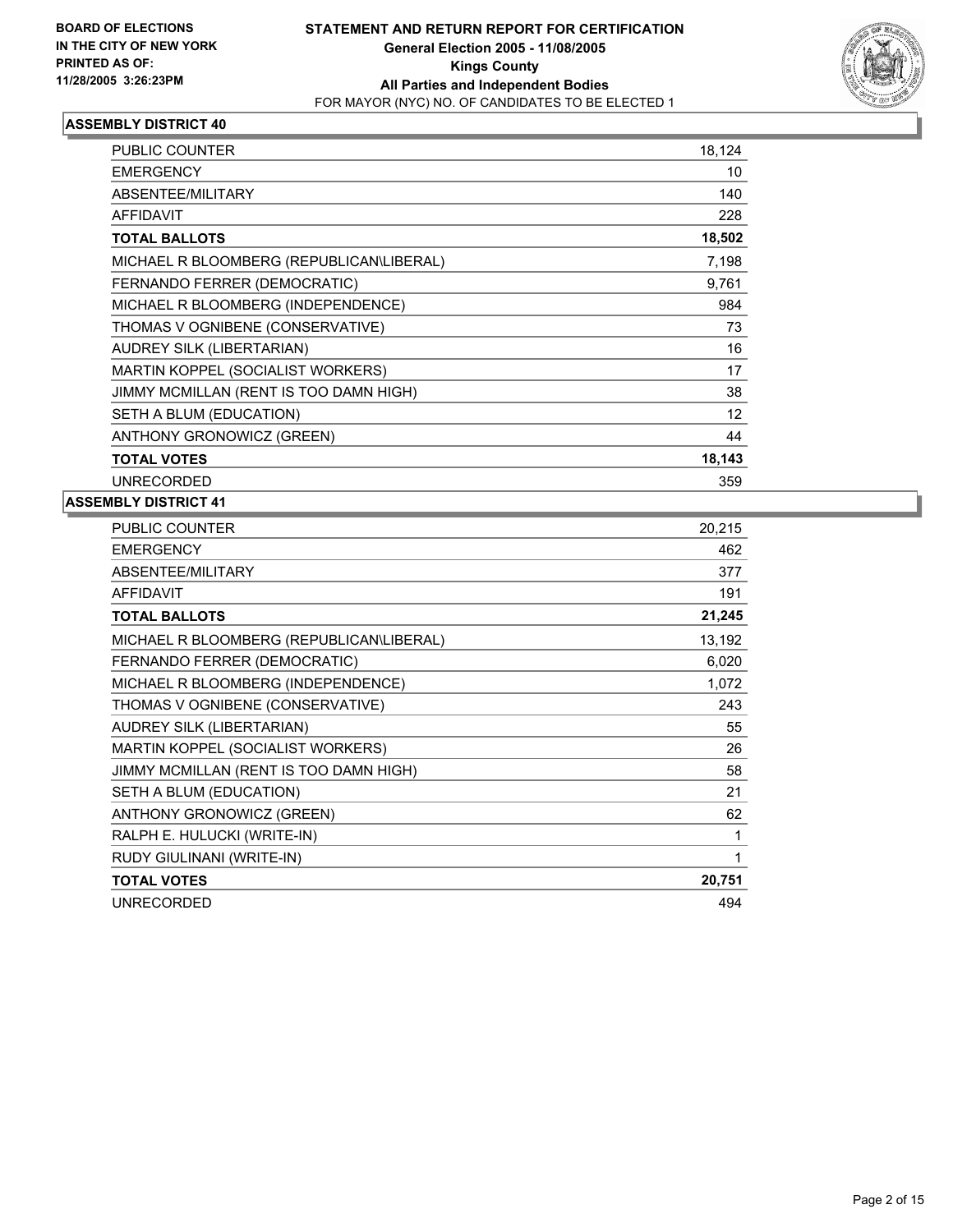

| PUBLIC COUNTER                           | 18,124 |
|------------------------------------------|--------|
| <b>EMERGENCY</b>                         | 10     |
| <b>ABSENTEE/MILITARY</b>                 | 140    |
| <b>AFFIDAVIT</b>                         | 228    |
| <b>TOTAL BALLOTS</b>                     | 18,502 |
| MICHAEL R BLOOMBERG (REPUBLICAN\LIBERAL) | 7,198  |
| FERNANDO FERRER (DEMOCRATIC)             | 9,761  |
| MICHAEL R BLOOMBERG (INDEPENDENCE)       | 984    |
| THOMAS V OGNIBENE (CONSERVATIVE)         | 73     |
| <b>AUDREY SILK (LIBERTARIAN)</b>         | 16     |
| MARTIN KOPPEL (SOCIALIST WORKERS)        | 17     |
| JIMMY MCMILLAN (RENT IS TOO DAMN HIGH)   | 38     |
| SETH A BLUM (EDUCATION)                  | 12     |
| ANTHONY GRONOWICZ (GREEN)                | 44     |
| <b>TOTAL VOTES</b>                       | 18,143 |
| <b>UNRECORDED</b>                        | 359    |

| PUBLIC COUNTER                           | 20,215 |
|------------------------------------------|--------|
| <b>EMERGENCY</b>                         | 462    |
| ABSENTEE/MILITARY                        | 377    |
| <b>AFFIDAVIT</b>                         | 191    |
| <b>TOTAL BALLOTS</b>                     | 21,245 |
| MICHAEL R BLOOMBERG (REPUBLICAN\LIBERAL) | 13,192 |
| FERNANDO FERRER (DEMOCRATIC)             | 6,020  |
| MICHAEL R BLOOMBERG (INDEPENDENCE)       | 1,072  |
| THOMAS V OGNIBENE (CONSERVATIVE)         | 243    |
| AUDREY SILK (LIBERTARIAN)                | 55     |
| MARTIN KOPPEL (SOCIALIST WORKERS)        | 26     |
| JIMMY MCMILLAN (RENT IS TOO DAMN HIGH)   | 58     |
| SETH A BLUM (EDUCATION)                  | 21     |
| ANTHONY GRONOWICZ (GREEN)                | 62     |
| RALPH E. HULUCKI (WRITE-IN)              |        |
| RUDY GIULINANI (WRITE-IN)                |        |
| <b>TOTAL VOTES</b>                       | 20,751 |
| <b>UNRECORDED</b>                        | 494    |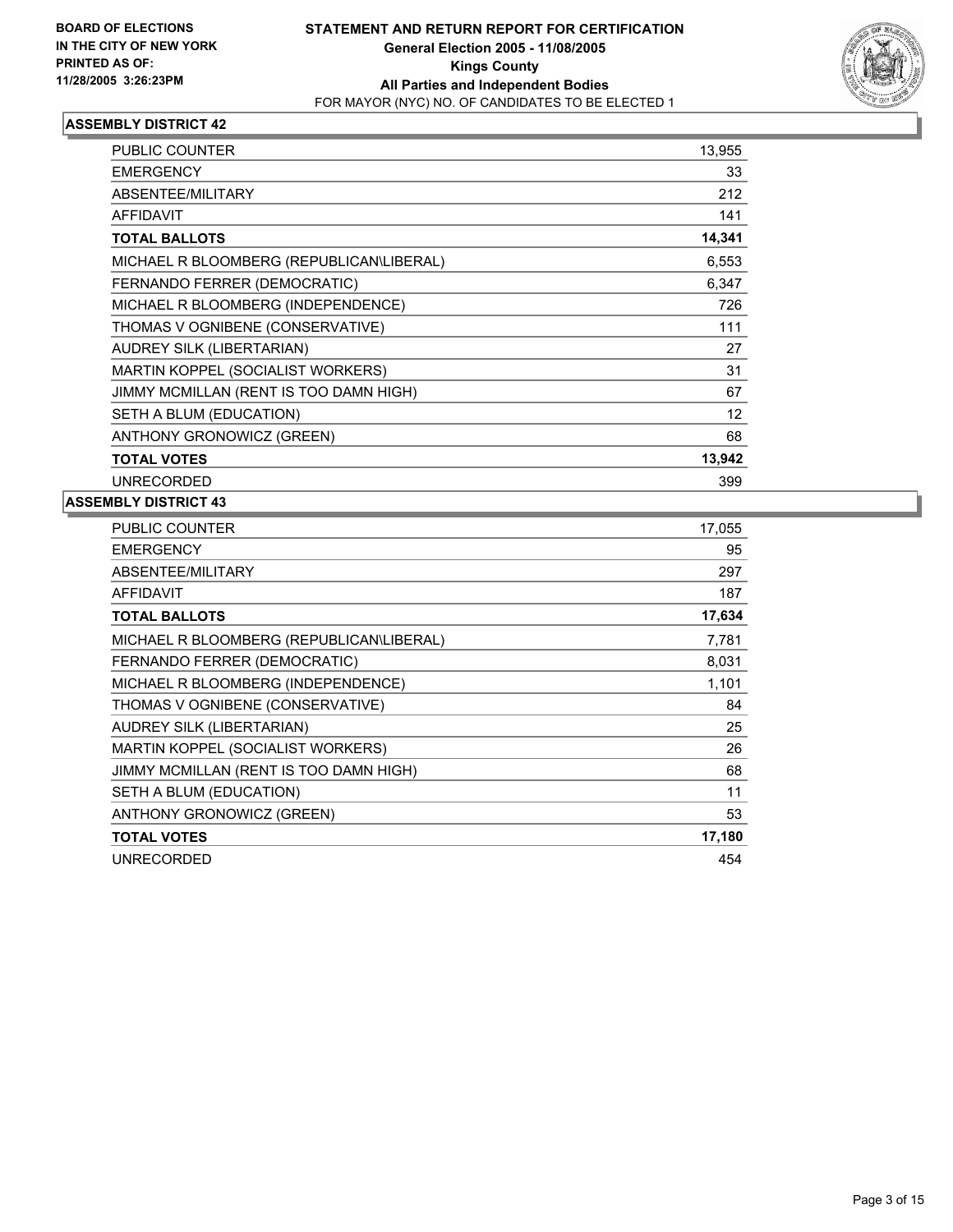

| PUBLIC COUNTER                           | 13,955 |  |
|------------------------------------------|--------|--|
| <b>EMERGENCY</b>                         | 33     |  |
| <b>ABSENTEE/MILITARY</b>                 | 212    |  |
| <b>AFFIDAVIT</b>                         | 141    |  |
| <b>TOTAL BALLOTS</b>                     | 14,341 |  |
| MICHAEL R BLOOMBERG (REPUBLICAN\LIBERAL) | 6,553  |  |
| FERNANDO FERRER (DEMOCRATIC)             | 6,347  |  |
| MICHAEL R BLOOMBERG (INDEPENDENCE)       | 726    |  |
| THOMAS V OGNIBENE (CONSERVATIVE)         | 111    |  |
| <b>AUDREY SILK (LIBERTARIAN)</b>         | 27     |  |
| MARTIN KOPPEL (SOCIALIST WORKERS)        | 31     |  |
| JIMMY MCMILLAN (RENT IS TOO DAMN HIGH)   | 67     |  |
| SETH A BLUM (EDUCATION)                  | 12     |  |
| ANTHONY GRONOWICZ (GREEN)                | 68     |  |
| <b>TOTAL VOTES</b>                       | 13,942 |  |
| <b>UNRECORDED</b>                        | 399    |  |

| PUBLIC COUNTER                           | 17,055 |
|------------------------------------------|--------|
| <b>EMERGENCY</b>                         | 95     |
| ABSENTEE/MILITARY                        | 297    |
| <b>AFFIDAVIT</b>                         | 187    |
| <b>TOTAL BALLOTS</b>                     | 17,634 |
| MICHAEL R BLOOMBERG (REPUBLICAN\LIBERAL) | 7,781  |
| FERNANDO FERRER (DEMOCRATIC)             | 8,031  |
| MICHAEL R BLOOMBERG (INDEPENDENCE)       | 1,101  |
| THOMAS V OGNIBENE (CONSERVATIVE)         | 84     |
| AUDREY SILK (LIBERTARIAN)                | 25     |
| MARTIN KOPPEL (SOCIALIST WORKERS)        | 26     |
| JIMMY MCMILLAN (RENT IS TOO DAMN HIGH)   | 68     |
| SETH A BLUM (EDUCATION)                  | 11     |
| ANTHONY GRONOWICZ (GREEN)                | 53     |
| <b>TOTAL VOTES</b>                       | 17,180 |
| <b>UNRECORDED</b>                        | 454    |
|                                          |        |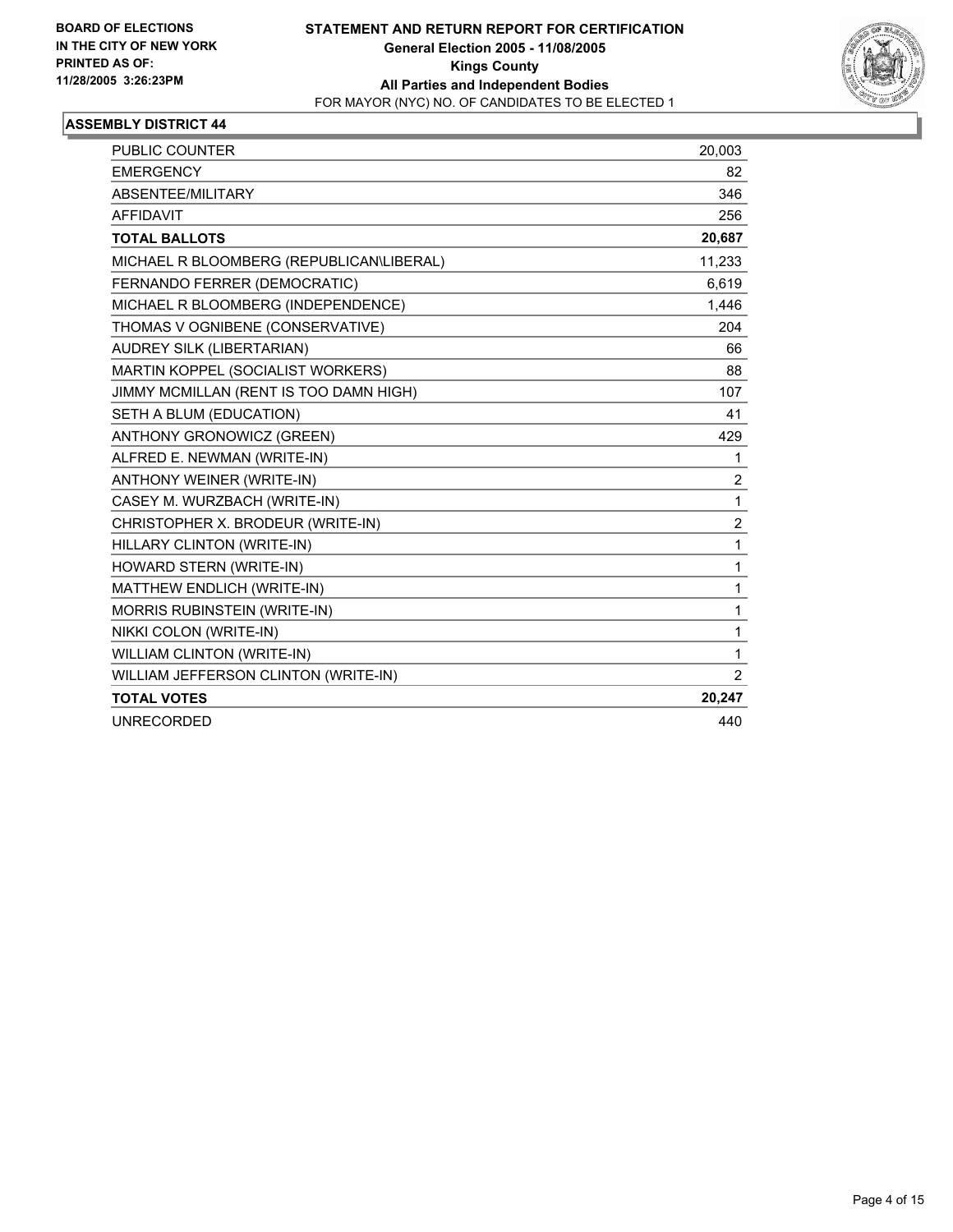

| <b>PUBLIC COUNTER</b>                    | 20,003                  |
|------------------------------------------|-------------------------|
| <b>EMERGENCY</b>                         | 82                      |
| ABSENTEE/MILITARY                        | 346                     |
| <b>AFFIDAVIT</b>                         | 256                     |
| <b>TOTAL BALLOTS</b>                     | 20,687                  |
| MICHAEL R BLOOMBERG (REPUBLICAN\LIBERAL) | 11,233                  |
| FERNANDO FERRER (DEMOCRATIC)             | 6,619                   |
| MICHAEL R BLOOMBERG (INDEPENDENCE)       | 1,446                   |
| THOMAS V OGNIBENE (CONSERVATIVE)         | 204                     |
| AUDREY SILK (LIBERTARIAN)                | 66                      |
| MARTIN KOPPEL (SOCIALIST WORKERS)        | 88                      |
| JIMMY MCMILLAN (RENT IS TOO DAMN HIGH)   | 107                     |
| SETH A BLUM (EDUCATION)                  | 41                      |
| ANTHONY GRONOWICZ (GREEN)                | 429                     |
| ALFRED E. NEWMAN (WRITE-IN)              | 1                       |
| <b>ANTHONY WEINER (WRITE-IN)</b>         | $\overline{\mathbf{c}}$ |
| CASEY M. WURZBACH (WRITE-IN)             | 1                       |
| CHRISTOPHER X. BRODEUR (WRITE-IN)        | $\overline{c}$          |
| HILLARY CLINTON (WRITE-IN)               | 1                       |
| HOWARD STERN (WRITE-IN)                  | 1                       |
| MATTHEW ENDLICH (WRITE-IN)               | 1                       |
| <b>MORRIS RUBINSTEIN (WRITE-IN)</b>      | 1                       |
| NIKKI COLON (WRITE-IN)                   | 1                       |
| <b>WILLIAM CLINTON (WRITE-IN)</b>        | 1                       |
| WILLIAM JEFFERSON CLINTON (WRITE-IN)     | $\overline{2}$          |
| <b>TOTAL VOTES</b>                       | 20,247                  |
| <b>UNRECORDED</b>                        | 440                     |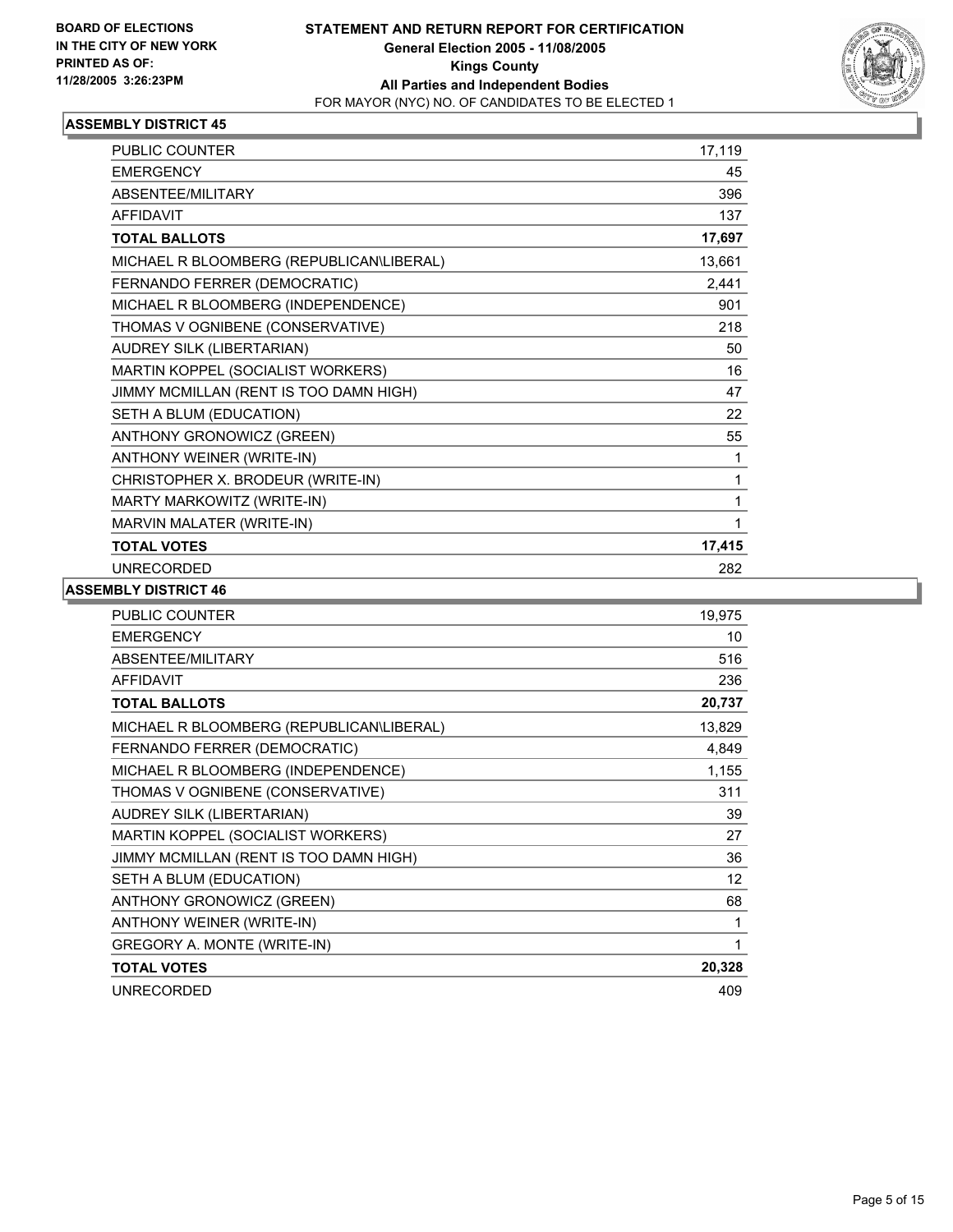

| <b>PUBLIC COUNTER</b>                    | 17,119 |
|------------------------------------------|--------|
| <b>EMERGENCY</b>                         | 45     |
| ABSENTEE/MILITARY                        | 396    |
| <b>AFFIDAVIT</b>                         | 137    |
| <b>TOTAL BALLOTS</b>                     | 17,697 |
| MICHAEL R BLOOMBERG (REPUBLICAN\LIBERAL) | 13,661 |
| FERNANDO FERRER (DEMOCRATIC)             | 2,441  |
| MICHAEL R BLOOMBERG (INDEPENDENCE)       | 901    |
| THOMAS V OGNIBENE (CONSERVATIVE)         | 218    |
| AUDREY SILK (LIBERTARIAN)                | 50     |
| MARTIN KOPPEL (SOCIALIST WORKERS)        | 16     |
| JIMMY MCMILLAN (RENT IS TOO DAMN HIGH)   | 47     |
| SETH A BLUM (EDUCATION)                  | 22     |
| ANTHONY GRONOWICZ (GREEN)                | 55     |
| ANTHONY WEINER (WRITE-IN)                | 1      |
| CHRISTOPHER X. BRODEUR (WRITE-IN)        |        |
| MARTY MARKOWITZ (WRITE-IN)               |        |
| MARVIN MALATER (WRITE-IN)                |        |
| <b>TOTAL VOTES</b>                       | 17,415 |
| <b>UNRECORDED</b>                        | 282    |

| <b>PUBLIC COUNTER</b>                    | 19,975 |
|------------------------------------------|--------|
| <b>EMERGENCY</b>                         | 10     |
| ABSENTEE/MILITARY                        | 516    |
| <b>AFFIDAVIT</b>                         | 236    |
| <b>TOTAL BALLOTS</b>                     | 20,737 |
| MICHAEL R BLOOMBERG (REPUBLICAN\LIBERAL) | 13,829 |
| FERNANDO FERRER (DEMOCRATIC)             | 4,849  |
| MICHAEL R BLOOMBERG (INDEPENDENCE)       | 1,155  |
| THOMAS V OGNIBENE (CONSERVATIVE)         | 311    |
| AUDREY SILK (LIBERTARIAN)                | 39     |
| MARTIN KOPPEL (SOCIALIST WORKERS)        | 27     |
| JIMMY MCMILLAN (RENT IS TOO DAMN HIGH)   | 36     |
| SETH A BLUM (EDUCATION)                  | 12     |
| ANTHONY GRONOWICZ (GREEN)                | 68     |
| ANTHONY WEINER (WRITE-IN)                | 1      |
| GREGORY A. MONTE (WRITE-IN)              | 1      |
| <b>TOTAL VOTES</b>                       | 20,328 |
| <b>UNRECORDED</b>                        | 409    |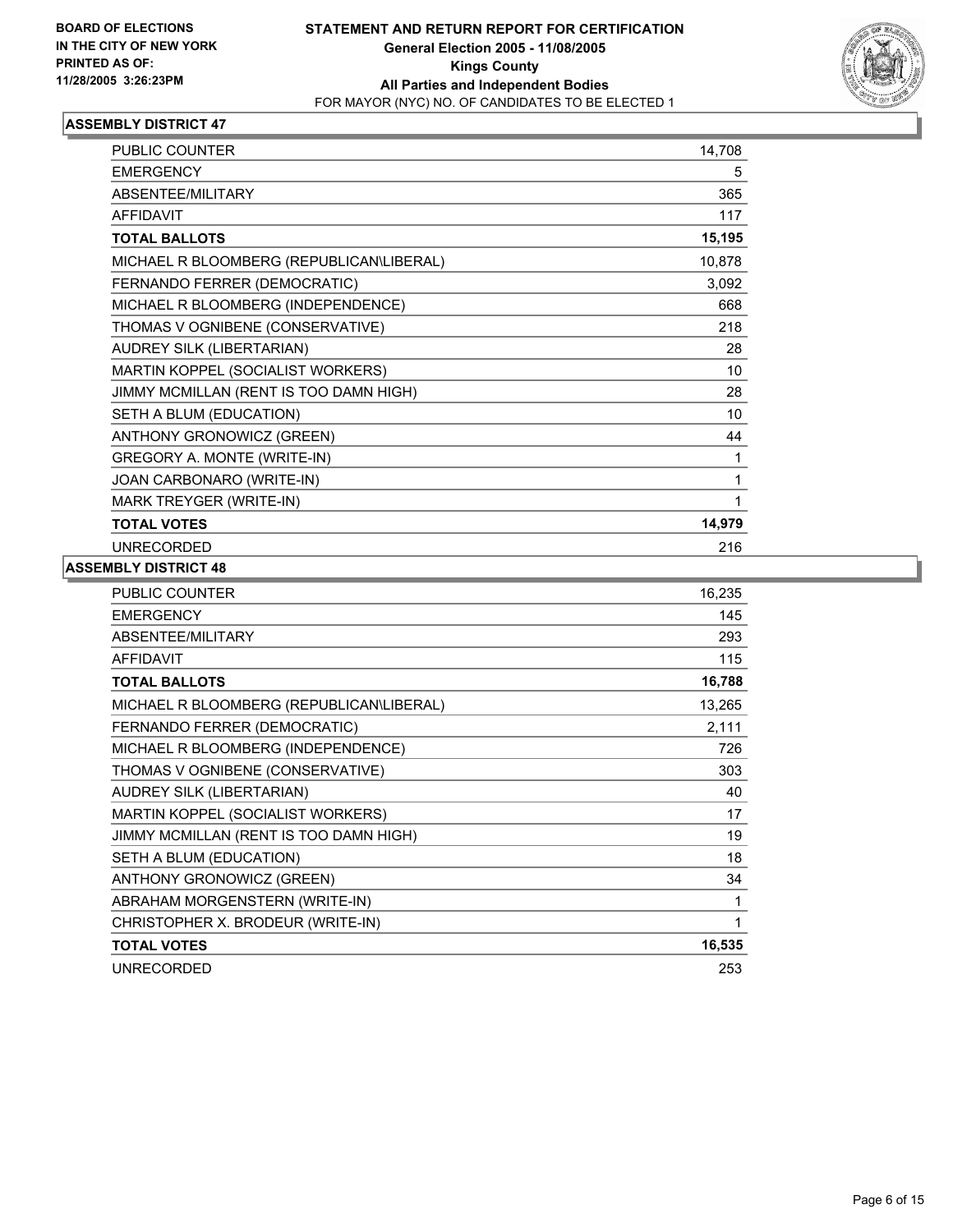

| <b>PUBLIC COUNTER</b>                    | 14,708 |
|------------------------------------------|--------|
| <b>EMERGENCY</b>                         | 5      |
| ABSENTEE/MILITARY                        | 365    |
| <b>AFFIDAVIT</b>                         | 117    |
| <b>TOTAL BALLOTS</b>                     | 15,195 |
| MICHAEL R BLOOMBERG (REPUBLICAN\LIBERAL) | 10,878 |
| FERNANDO FERRER (DEMOCRATIC)             | 3,092  |
| MICHAEL R BLOOMBERG (INDEPENDENCE)       | 668    |
| THOMAS V OGNIBENE (CONSERVATIVE)         | 218    |
| AUDREY SILK (LIBERTARIAN)                | 28     |
| MARTIN KOPPEL (SOCIALIST WORKERS)        | 10     |
| JIMMY MCMILLAN (RENT IS TOO DAMN HIGH)   | 28     |
| SETH A BLUM (EDUCATION)                  | 10     |
| ANTHONY GRONOWICZ (GREEN)                | 44     |
| GREGORY A. MONTE (WRITE-IN)              |        |
| JOAN CARBONARO (WRITE-IN)                |        |
| MARK TREYGER (WRITE-IN)                  |        |
| <b>TOTAL VOTES</b>                       | 14,979 |
| <b>UNRECORDED</b>                        | 216    |

| 16,235 |
|--------|
| 145    |
| 293    |
| 115    |
| 16,788 |
| 13,265 |
| 2,111  |
| 726    |
| 303    |
| 40     |
| 17     |
| 19     |
| 18     |
| 34     |
|        |
|        |
| 16,535 |
| 253    |
|        |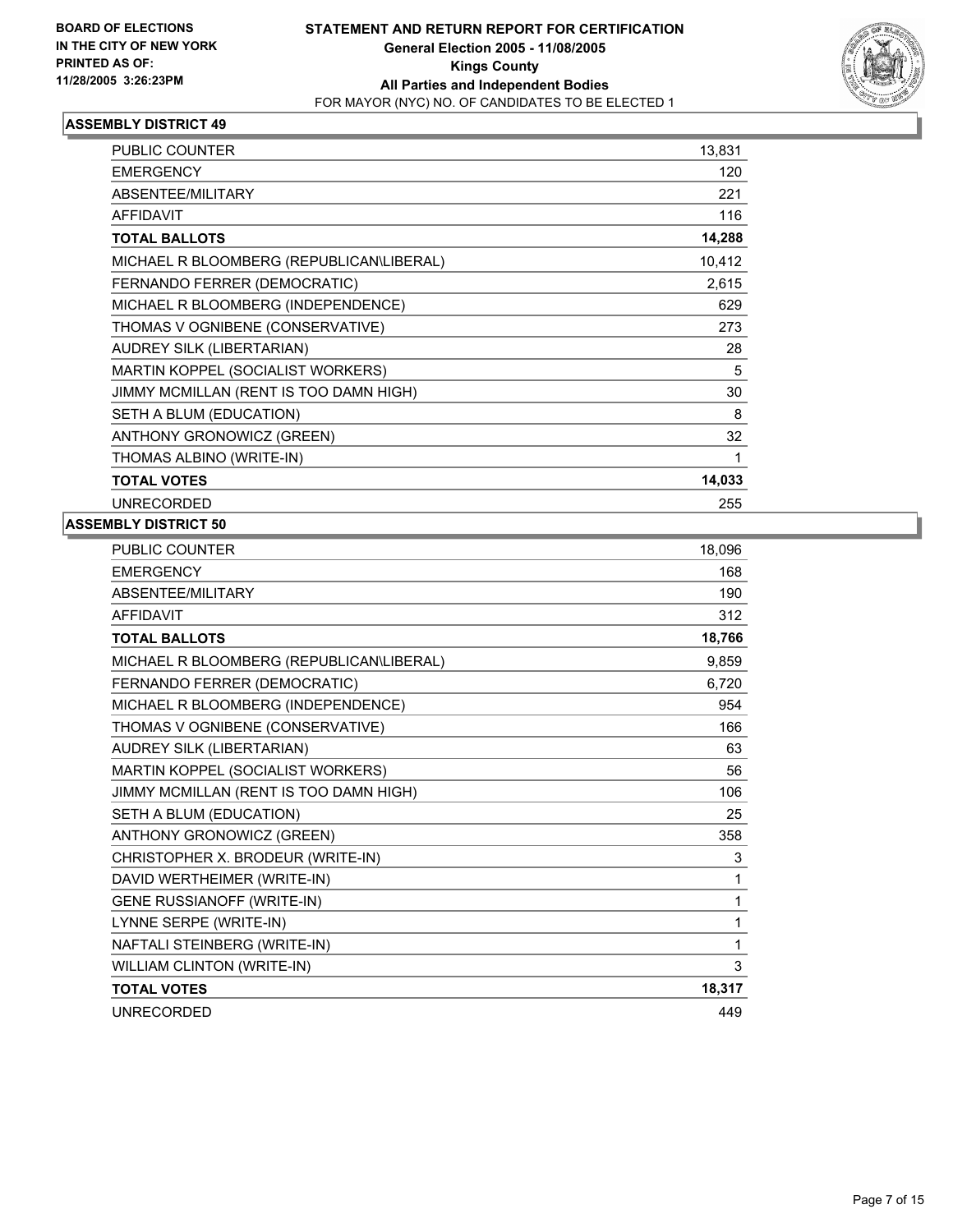

| PUBLIC COUNTER                           | 13,831 |  |
|------------------------------------------|--------|--|
| <b>EMERGENCY</b>                         | 120    |  |
| ABSENTEE/MILITARY                        | 221    |  |
| <b>AFFIDAVIT</b>                         | 116    |  |
| <b>TOTAL BALLOTS</b>                     | 14,288 |  |
| MICHAEL R BLOOMBERG (REPUBLICAN\LIBERAL) | 10,412 |  |
| FERNANDO FERRER (DEMOCRATIC)             | 2,615  |  |
| MICHAEL R BLOOMBERG (INDEPENDENCE)       | 629    |  |
| THOMAS V OGNIBENE (CONSERVATIVE)         | 273    |  |
| AUDREY SILK (LIBERTARIAN)                | 28     |  |
| MARTIN KOPPEL (SOCIALIST WORKERS)        | 5      |  |
| JIMMY MCMILLAN (RENT IS TOO DAMN HIGH)   | 30     |  |
| SETH A BLUM (EDUCATION)                  | 8      |  |
| ANTHONY GRONOWICZ (GREEN)                | 32     |  |
| THOMAS ALBINO (WRITE-IN)                 |        |  |
| <b>TOTAL VOTES</b>                       | 14,033 |  |
| <b>UNRECORDED</b>                        | 255    |  |

| PUBLIC COUNTER                           | 18,096 |
|------------------------------------------|--------|
| <b>EMERGENCY</b>                         | 168    |
| ABSENTEE/MILITARY                        | 190    |
| <b>AFFIDAVIT</b>                         | 312    |
| <b>TOTAL BALLOTS</b>                     | 18,766 |
| MICHAEL R BLOOMBERG (REPUBLICAN\LIBERAL) | 9,859  |
| FERNANDO FERRER (DEMOCRATIC)             | 6,720  |
| MICHAEL R BLOOMBERG (INDEPENDENCE)       | 954    |
| THOMAS V OGNIBENE (CONSERVATIVE)         | 166    |
| <b>AUDREY SILK (LIBERTARIAN)</b>         | 63     |
| MARTIN KOPPEL (SOCIALIST WORKERS)        | 56     |
| JIMMY MCMILLAN (RENT IS TOO DAMN HIGH)   | 106    |
| SETH A BLUM (EDUCATION)                  | 25     |
| ANTHONY GRONOWICZ (GREEN)                | 358    |
| CHRISTOPHER X. BRODEUR (WRITE-IN)        | 3      |
| DAVID WERTHEIMER (WRITE-IN)              | 1      |
| <b>GENE RUSSIANOFF (WRITE-IN)</b>        | 1      |
| LYNNE SERPE (WRITE-IN)                   | 1      |
| NAFTALI STEINBERG (WRITE-IN)             | 1      |
| WILLIAM CLINTON (WRITE-IN)               | 3      |
| <b>TOTAL VOTES</b>                       | 18,317 |
| <b>UNRECORDED</b>                        | 449    |
|                                          |        |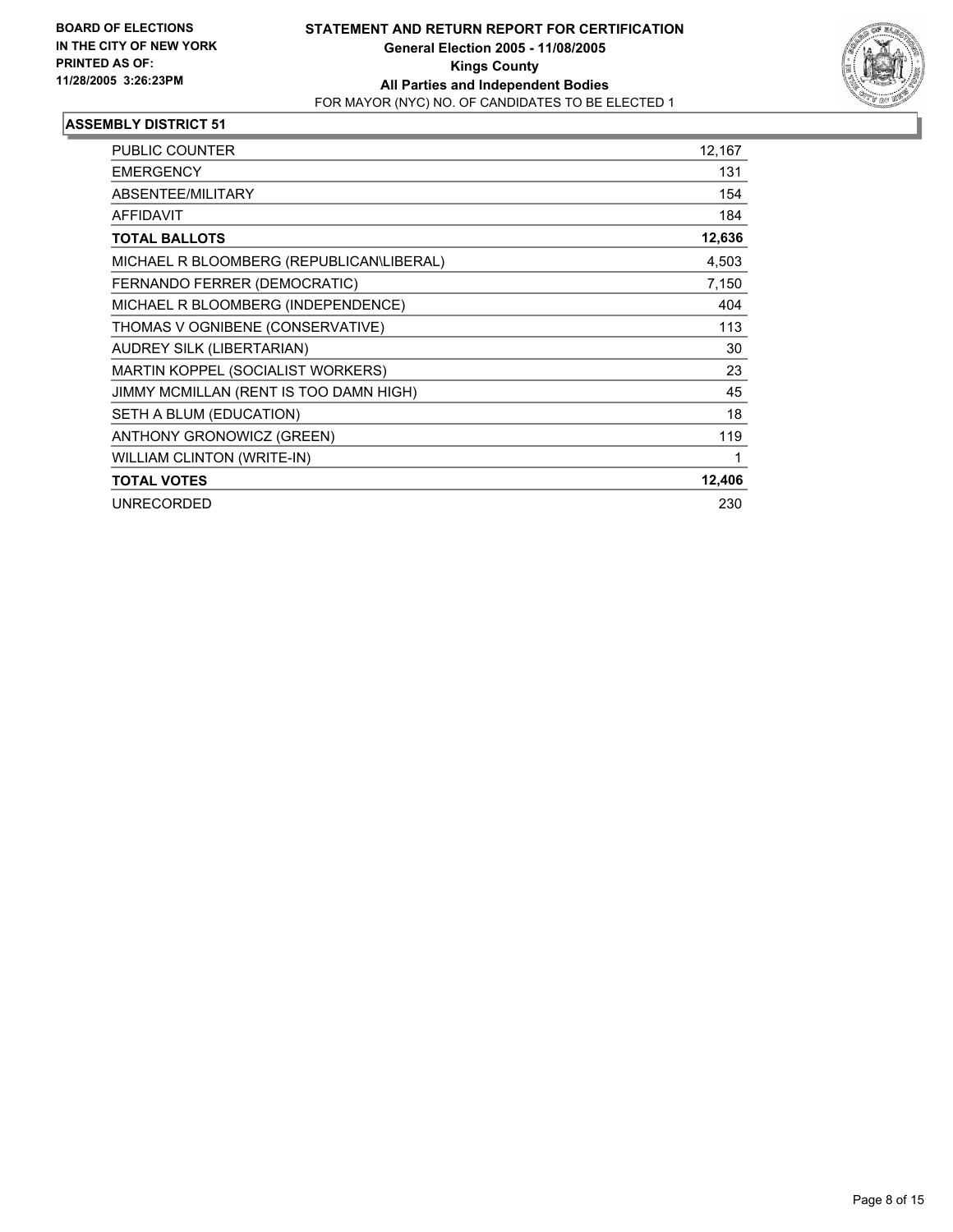

| PUBLIC COUNTER                           | 12,167 |
|------------------------------------------|--------|
| <b>EMERGENCY</b>                         | 131    |
| <b>ABSENTEE/MILITARY</b>                 | 154    |
| <b>AFFIDAVIT</b>                         | 184    |
| <b>TOTAL BALLOTS</b>                     | 12,636 |
| MICHAEL R BLOOMBERG (REPUBLICAN\LIBERAL) | 4,503  |
| FERNANDO FERRER (DEMOCRATIC)             | 7,150  |
| MICHAEL R BLOOMBERG (INDEPENDENCE)       | 404    |
| THOMAS V OGNIBENE (CONSERVATIVE)         | 113    |
| AUDREY SILK (LIBERTARIAN)                | 30     |
| MARTIN KOPPEL (SOCIALIST WORKERS)        | 23     |
| JIMMY MCMILLAN (RENT IS TOO DAMN HIGH)   | 45     |
| SETH A BLUM (EDUCATION)                  | 18     |
| ANTHONY GRONOWICZ (GREEN)                | 119    |
| WILLIAM CLINTON (WRITE-IN)               |        |
| <b>TOTAL VOTES</b>                       | 12,406 |
| <b>UNRECORDED</b>                        | 230    |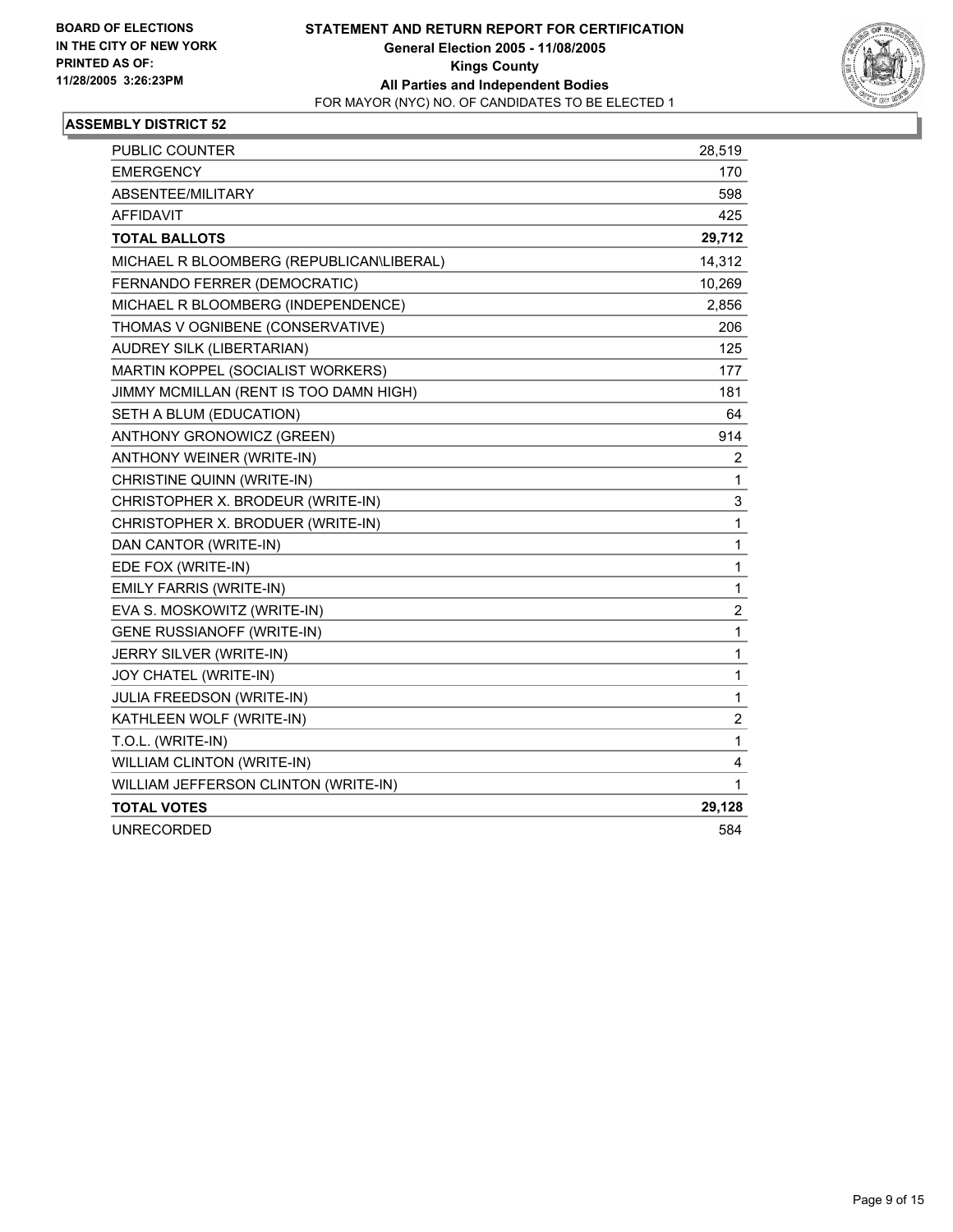

| <b>PUBLIC COUNTER</b>                    | 28,519         |
|------------------------------------------|----------------|
| <b>EMERGENCY</b>                         | 170            |
| ABSENTEE/MILITARY                        | 598            |
| <b>AFFIDAVIT</b>                         | 425            |
| <b>TOTAL BALLOTS</b>                     | 29,712         |
| MICHAEL R BLOOMBERG (REPUBLICAN\LIBERAL) | 14,312         |
| FERNANDO FERRER (DEMOCRATIC)             | 10,269         |
| MICHAEL R BLOOMBERG (INDEPENDENCE)       | 2,856          |
| THOMAS V OGNIBENE (CONSERVATIVE)         | 206            |
| AUDREY SILK (LIBERTARIAN)                | 125            |
| MARTIN KOPPEL (SOCIALIST WORKERS)        | 177            |
| JIMMY MCMILLAN (RENT IS TOO DAMN HIGH)   | 181            |
| SETH A BLUM (EDUCATION)                  | 64             |
| ANTHONY GRONOWICZ (GREEN)                | 914            |
| ANTHONY WEINER (WRITE-IN)                | 2              |
| CHRISTINE QUINN (WRITE-IN)               | 1              |
| CHRISTOPHER X. BRODEUR (WRITE-IN)        | 3              |
| CHRISTOPHER X. BRODUER (WRITE-IN)        | 1              |
| DAN CANTOR (WRITE-IN)                    | 1              |
| EDE FOX (WRITE-IN)                       | 1              |
| EMILY FARRIS (WRITE-IN)                  | 1              |
| EVA S. MOSKOWITZ (WRITE-IN)              | $\overline{c}$ |
| GENE RUSSIANOFF (WRITE-IN)               | 1              |
| JERRY SILVER (WRITE-IN)                  | 1              |
| JOY CHATEL (WRITE-IN)                    | 1              |
| JULIA FREEDSON (WRITE-IN)                | 1              |
| KATHLEEN WOLF (WRITE-IN)                 | $\overline{c}$ |
| T.O.L. (WRITE-IN)                        | 1              |
| WILLIAM CLINTON (WRITE-IN)               | 4              |
| WILLIAM JEFFERSON CLINTON (WRITE-IN)     | 1              |
| <b>TOTAL VOTES</b>                       | 29,128         |
| <b>UNRECORDED</b>                        | 584            |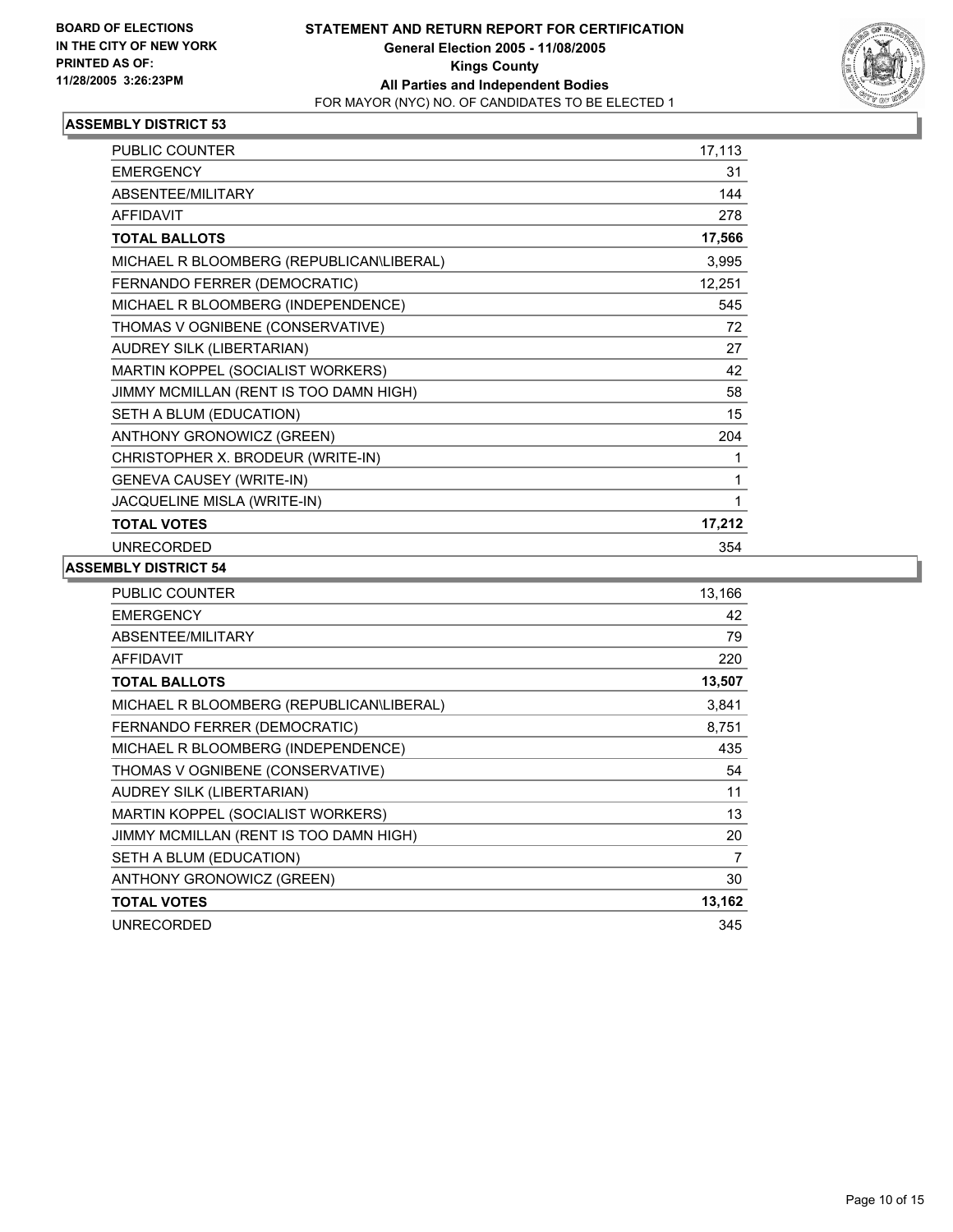

| PUBLIC COUNTER                           | 17,113 |
|------------------------------------------|--------|
| <b>EMERGENCY</b>                         | 31     |
| <b>ABSENTEE/MILITARY</b>                 | 144    |
| <b>AFFIDAVIT</b>                         | 278    |
| <b>TOTAL BALLOTS</b>                     | 17,566 |
| MICHAEL R BLOOMBERG (REPUBLICAN\LIBERAL) | 3,995  |
| FERNANDO FERRER (DEMOCRATIC)             | 12,251 |
| MICHAEL R BLOOMBERG (INDEPENDENCE)       | 545    |
| THOMAS V OGNIBENE (CONSERVATIVE)         | 72     |
| AUDREY SILK (LIBERTARIAN)                | 27     |
| MARTIN KOPPEL (SOCIALIST WORKERS)        | 42     |
| JIMMY MCMILLAN (RENT IS TOO DAMN HIGH)   | 58     |
| SETH A BLUM (EDUCATION)                  | 15     |
| ANTHONY GRONOWICZ (GREEN)                | 204    |
| CHRISTOPHER X. BRODEUR (WRITE-IN)        |        |
| <b>GENEVA CAUSEY (WRITE-IN)</b>          |        |
| JACQUELINE MISLA (WRITE-IN)              |        |
| <b>TOTAL VOTES</b>                       | 17,212 |
| <b>UNRECORDED</b>                        | 354    |

| PUBLIC COUNTER                           | 13,166 |
|------------------------------------------|--------|
| <b>EMERGENCY</b>                         | 42     |
| ABSENTEE/MILITARY                        | 79     |
| <b>AFFIDAVIT</b>                         | 220    |
| <b>TOTAL BALLOTS</b>                     | 13,507 |
| MICHAEL R BLOOMBERG (REPUBLICAN\LIBERAL) | 3,841  |
| FERNANDO FERRER (DEMOCRATIC)             | 8,751  |
| MICHAEL R BLOOMBERG (INDEPENDENCE)       | 435    |
| THOMAS V OGNIBENE (CONSERVATIVE)         | 54     |
| AUDREY SILK (LIBERTARIAN)                | 11     |
| MARTIN KOPPEL (SOCIALIST WORKERS)        | 13     |
| JIMMY MCMILLAN (RENT IS TOO DAMN HIGH)   | 20     |
| SETH A BLUM (EDUCATION)                  | 7      |
| <b>ANTHONY GRONOWICZ (GREEN)</b>         | 30     |
| <b>TOTAL VOTES</b>                       | 13,162 |
| <b>UNRECORDED</b>                        | 345    |
|                                          |        |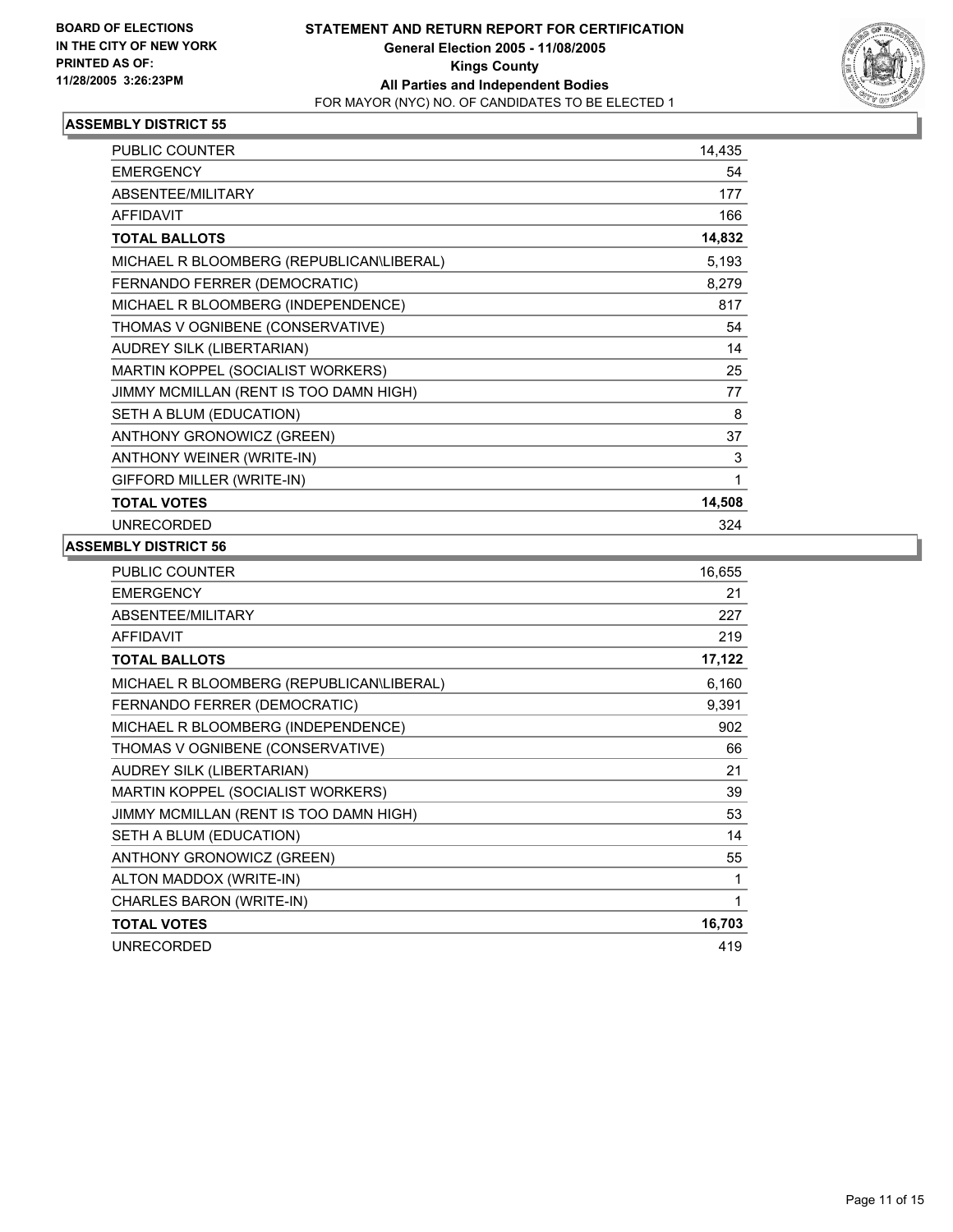

| <b>PUBLIC COUNTER</b>                    | 14,435 |
|------------------------------------------|--------|
| <b>EMERGENCY</b>                         | 54     |
| ABSENTEE/MILITARY                        | 177    |
| <b>AFFIDAVIT</b>                         | 166    |
| <b>TOTAL BALLOTS</b>                     | 14,832 |
| MICHAEL R BLOOMBERG (REPUBLICAN\LIBERAL) | 5,193  |
| FERNANDO FERRER (DEMOCRATIC)             | 8,279  |
| MICHAEL R BLOOMBERG (INDEPENDENCE)       | 817    |
| THOMAS V OGNIBENE (CONSERVATIVE)         | 54     |
| AUDREY SILK (LIBERTARIAN)                | 14     |
| MARTIN KOPPEL (SOCIALIST WORKERS)        | 25     |
| JIMMY MCMILLAN (RENT IS TOO DAMN HIGH)   | 77     |
| SETH A BLUM (EDUCATION)                  | 8      |
| ANTHONY GRONOWICZ (GREEN)                | 37     |
| ANTHONY WEINER (WRITE-IN)                | 3      |
| GIFFORD MILLER (WRITE-IN)                |        |
| <b>TOTAL VOTES</b>                       | 14,508 |
| <b>UNRECORDED</b>                        | 324    |

| PUBLIC COUNTER                           | 16,655 |
|------------------------------------------|--------|
| <b>EMERGENCY</b>                         | 21     |
| ABSENTEE/MILITARY                        | 227    |
| <b>AFFIDAVIT</b>                         | 219    |
| <b>TOTAL BALLOTS</b>                     | 17,122 |
| MICHAEL R BLOOMBERG (REPUBLICAN\LIBERAL) | 6,160  |
| FERNANDO FERRER (DEMOCRATIC)             | 9,391  |
| MICHAEL R BLOOMBERG (INDEPENDENCE)       | 902    |
| THOMAS V OGNIBENE (CONSERVATIVE)         | 66     |
| AUDREY SILK (LIBERTARIAN)                | 21     |
| MARTIN KOPPEL (SOCIALIST WORKERS)        | 39     |
| JIMMY MCMILLAN (RENT IS TOO DAMN HIGH)   | 53     |
| SETH A BLUM (EDUCATION)                  | 14     |
| ANTHONY GRONOWICZ (GREEN)                | 55     |
| ALTON MADDOX (WRITE-IN)                  |        |
| CHARLES BARON (WRITE-IN)                 | 1      |
| <b>TOTAL VOTES</b>                       | 16,703 |
| <b>UNRECORDED</b>                        | 419    |
|                                          |        |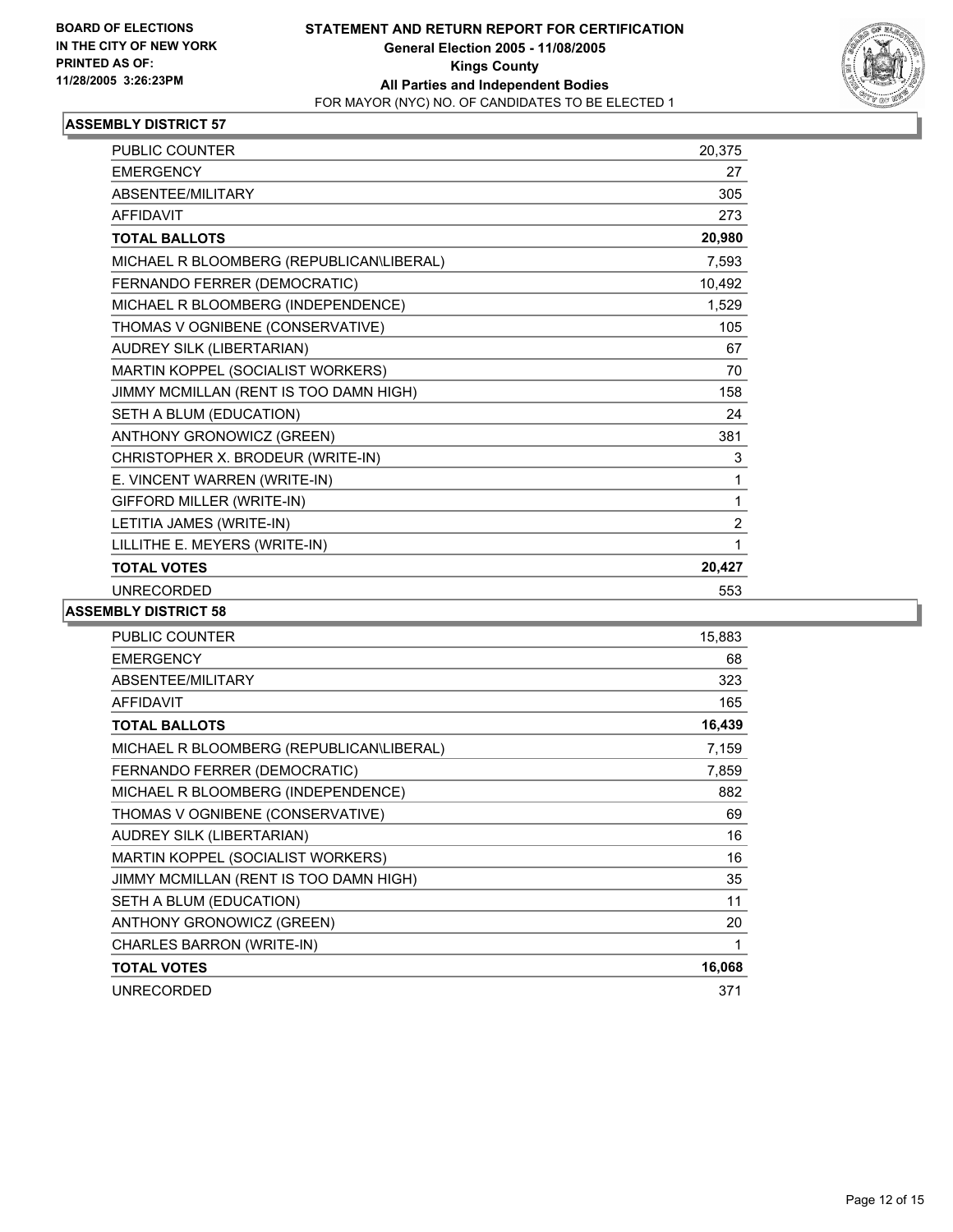

| <b>PUBLIC COUNTER</b>                    | 20,375         |  |
|------------------------------------------|----------------|--|
| <b>EMERGENCY</b>                         | 27             |  |
| ABSENTEE/MILITARY                        | 305            |  |
| <b>AFFIDAVIT</b>                         | 273            |  |
| <b>TOTAL BALLOTS</b>                     | 20,980         |  |
| MICHAEL R BLOOMBERG (REPUBLICAN\LIBERAL) | 7,593          |  |
| FERNANDO FERRER (DEMOCRATIC)             | 10,492         |  |
| MICHAEL R BLOOMBERG (INDEPENDENCE)       | 1,529          |  |
| THOMAS V OGNIBENE (CONSERVATIVE)         | 105            |  |
| AUDREY SILK (LIBERTARIAN)                | 67             |  |
| MARTIN KOPPEL (SOCIALIST WORKERS)        | 70             |  |
| JIMMY MCMILLAN (RENT IS TOO DAMN HIGH)   | 158            |  |
| SETH A BLUM (EDUCATION)                  | 24             |  |
| ANTHONY GRONOWICZ (GREEN)                | 381            |  |
| CHRISTOPHER X. BRODEUR (WRITE-IN)        | 3              |  |
| E. VINCENT WARREN (WRITE-IN)             | 1              |  |
| GIFFORD MILLER (WRITE-IN)                | 1              |  |
| LETITIA JAMES (WRITE-IN)                 | $\overline{2}$ |  |
| LILLITHE E. MEYERS (WRITE-IN)            | 1              |  |
| <b>TOTAL VOTES</b>                       | 20,427         |  |
| <b>UNRECORDED</b>                        | 553            |  |

| PUBLIC COUNTER                           | 15,883 |
|------------------------------------------|--------|
| <b>EMERGENCY</b>                         | 68     |
| ABSENTEE/MILITARY                        | 323    |
| <b>AFFIDAVIT</b>                         | 165    |
| <b>TOTAL BALLOTS</b>                     | 16,439 |
| MICHAEL R BLOOMBERG (REPUBLICAN\LIBERAL) | 7,159  |
| FERNANDO FERRER (DEMOCRATIC)             | 7,859  |
| MICHAEL R BLOOMBERG (INDEPENDENCE)       | 882    |
| THOMAS V OGNIBENE (CONSERVATIVE)         | 69     |
| AUDREY SILK (LIBERTARIAN)                | 16     |
| MARTIN KOPPEL (SOCIALIST WORKERS)        | 16     |
| JIMMY MCMILLAN (RENT IS TOO DAMN HIGH)   | 35     |
| SETH A BLUM (EDUCATION)                  | 11     |
| ANTHONY GRONOWICZ (GREEN)                | 20     |
| CHARLES BARRON (WRITE-IN)                |        |
| <b>TOTAL VOTES</b>                       | 16,068 |
| <b>UNRECORDED</b>                        | 371    |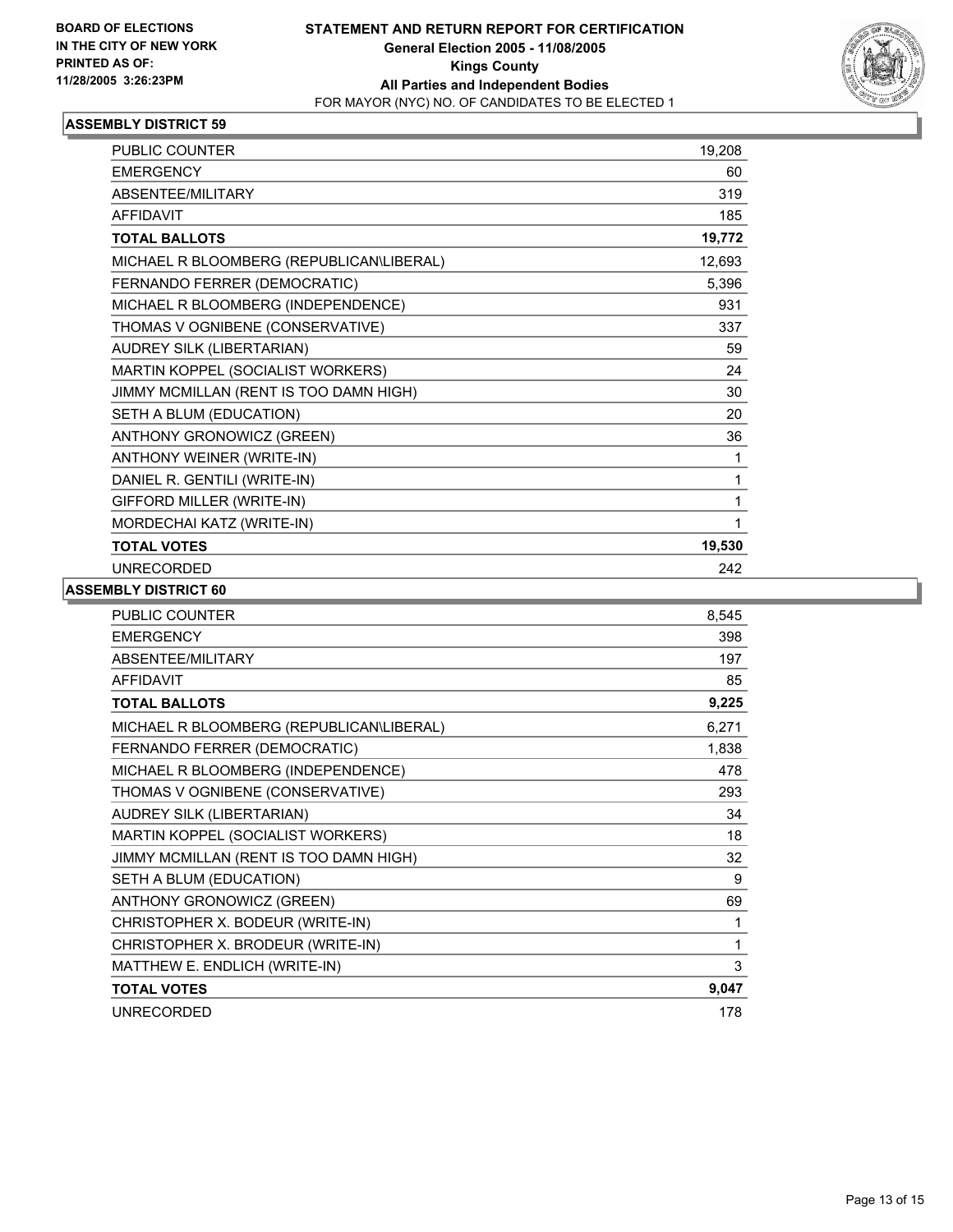

| PUBLIC COUNTER                           | 19,208 |
|------------------------------------------|--------|
| <b>EMERGENCY</b>                         | 60     |
| <b>ABSENTEE/MILITARY</b>                 | 319    |
| <b>AFFIDAVIT</b>                         | 185    |
| <b>TOTAL BALLOTS</b>                     | 19,772 |
| MICHAEL R BLOOMBERG (REPUBLICAN\LIBERAL) | 12,693 |
| FERNANDO FERRER (DEMOCRATIC)             | 5,396  |
| MICHAEL R BLOOMBERG (INDEPENDENCE)       | 931    |
| THOMAS V OGNIBENE (CONSERVATIVE)         | 337    |
| AUDREY SILK (LIBERTARIAN)                | 59     |
| MARTIN KOPPEL (SOCIALIST WORKERS)        | 24     |
| JIMMY MCMILLAN (RENT IS TOO DAMN HIGH)   | 30     |
| SETH A BLUM (EDUCATION)                  | 20     |
| ANTHONY GRONOWICZ (GREEN)                | 36     |
| ANTHONY WEINER (WRITE-IN)                | 1      |
| DANIEL R. GENTILI (WRITE-IN)             |        |
| GIFFORD MILLER (WRITE-IN)                |        |
| MORDECHAI KATZ (WRITE-IN)                |        |
| <b>TOTAL VOTES</b>                       | 19,530 |
| <b>UNRECORDED</b>                        | 242    |

| <b>PUBLIC COUNTER</b>                    | 8,545 |
|------------------------------------------|-------|
| <b>EMERGENCY</b>                         | 398   |
| ABSENTEE/MILITARY                        | 197   |
| <b>AFFIDAVIT</b>                         | 85    |
| <b>TOTAL BALLOTS</b>                     | 9,225 |
| MICHAEL R BLOOMBERG (REPUBLICAN\LIBERAL) | 6,271 |
| FERNANDO FERRER (DEMOCRATIC)             | 1,838 |
| MICHAEL R BLOOMBERG (INDEPENDENCE)       | 478   |
| THOMAS V OGNIBENE (CONSERVATIVE)         | 293   |
| AUDREY SILK (LIBERTARIAN)                | 34    |
| MARTIN KOPPEL (SOCIALIST WORKERS)        | 18    |
| JIMMY MCMILLAN (RENT IS TOO DAMN HIGH)   | 32    |
| SETH A BLUM (EDUCATION)                  | 9     |
| ANTHONY GRONOWICZ (GREEN)                | 69    |
| CHRISTOPHER X. BODEUR (WRITE-IN)         | 1     |
| CHRISTOPHER X. BRODEUR (WRITE-IN)        | 1     |
| MATTHEW E. ENDLICH (WRITE-IN)            | 3     |
| <b>TOTAL VOTES</b>                       | 9,047 |
| <b>UNRECORDED</b>                        | 178   |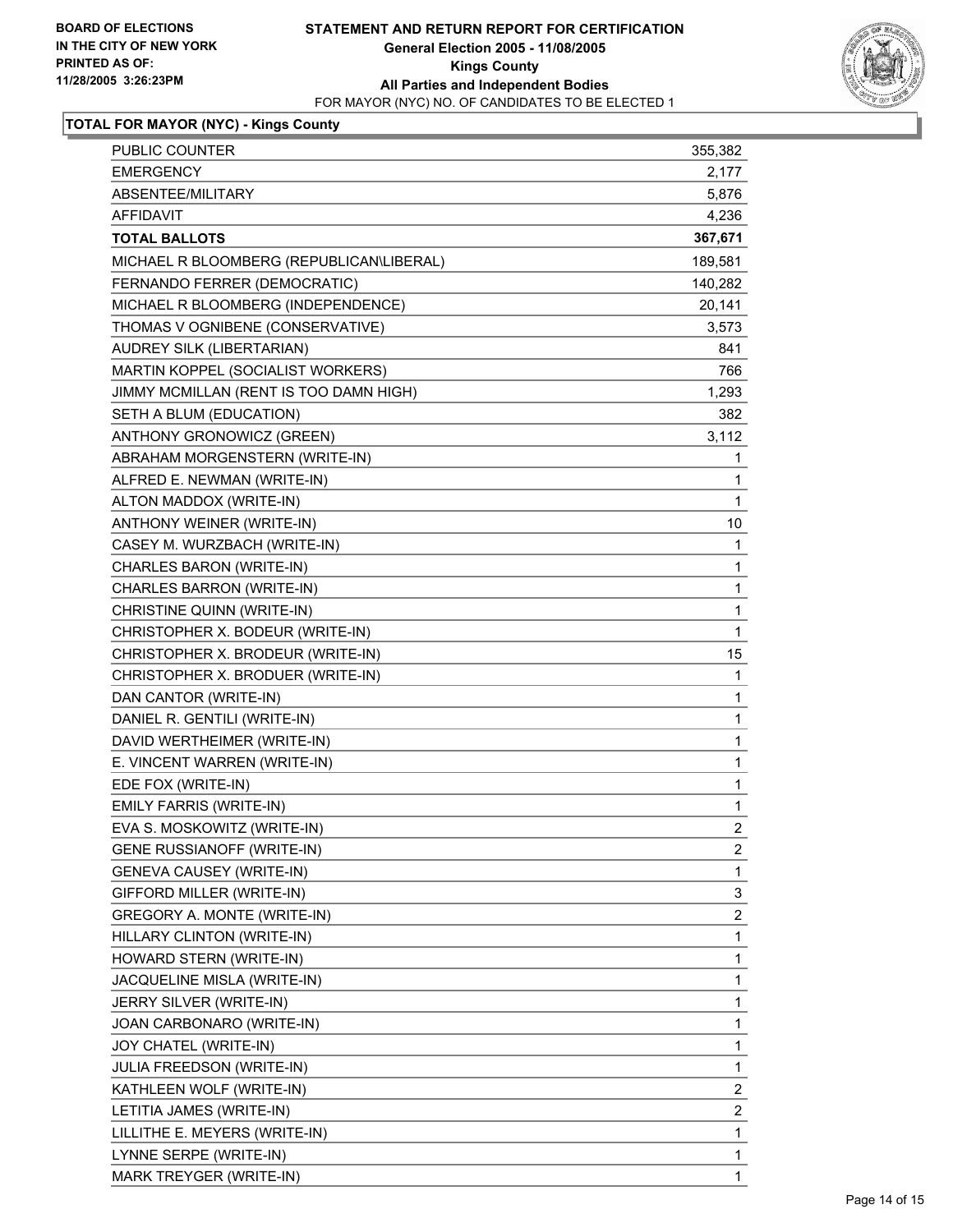

## **TOTAL FOR MAYOR (NYC) - Kings County**

| PUBLIC COUNTER                           | 355,382                 |
|------------------------------------------|-------------------------|
| <b>EMERGENCY</b>                         | 2,177                   |
| ABSENTEE/MILITARY                        | 5,876                   |
| <b>AFFIDAVIT</b>                         | 4,236                   |
| <b>TOTAL BALLOTS</b>                     | 367,671                 |
| MICHAEL R BLOOMBERG (REPUBLICAN\LIBERAL) | 189,581                 |
| FERNANDO FERRER (DEMOCRATIC)             | 140,282                 |
| MICHAEL R BLOOMBERG (INDEPENDENCE)       | 20,141                  |
| THOMAS V OGNIBENE (CONSERVATIVE)         | 3,573                   |
| AUDREY SILK (LIBERTARIAN)                | 841                     |
| MARTIN KOPPEL (SOCIALIST WORKERS)        | 766                     |
| JIMMY MCMILLAN (RENT IS TOO DAMN HIGH)   | 1,293                   |
| SETH A BLUM (EDUCATION)                  | 382                     |
| ANTHONY GRONOWICZ (GREEN)                | 3,112                   |
| ABRAHAM MORGENSTERN (WRITE-IN)           | $\mathbf 1$             |
| ALFRED E. NEWMAN (WRITE-IN)              | 1                       |
| ALTON MADDOX (WRITE-IN)                  | 1                       |
| ANTHONY WEINER (WRITE-IN)                | 10                      |
| CASEY M. WURZBACH (WRITE-IN)             | 1                       |
| CHARLES BARON (WRITE-IN)                 | 1                       |
| CHARLES BARRON (WRITE-IN)                | 1                       |
| CHRISTINE QUINN (WRITE-IN)               | $\mathbf 1$             |
| CHRISTOPHER X. BODEUR (WRITE-IN)         | 1                       |
| CHRISTOPHER X. BRODEUR (WRITE-IN)        | 15                      |
| CHRISTOPHER X. BRODUER (WRITE-IN)        | 1                       |
| DAN CANTOR (WRITE-IN)                    | 1                       |
| DANIEL R. GENTILI (WRITE-IN)             | 1                       |
| DAVID WERTHEIMER (WRITE-IN)              | $\mathbf 1$             |
| E. VINCENT WARREN (WRITE-IN)             | 1                       |
| EDE FOX (WRITE-IN)                       | 1                       |
| EMILY FARRIS (WRITE-IN)                  | 1                       |
| EVA S. MOSKOWITZ (WRITE-IN)              | $\overline{2}$          |
| <b>GENE RUSSIANOFF (WRITE-IN)</b>        | $\overline{\mathbf{c}}$ |
| <b>GENEVA CAUSEY (WRITE-IN)</b>          | 1                       |
| GIFFORD MILLER (WRITE-IN)                | 3                       |
| GREGORY A. MONTE (WRITE-IN)              | $\overline{\mathbf{c}}$ |
| HILLARY CLINTON (WRITE-IN)               | $\mathbf{1}$            |
| HOWARD STERN (WRITE-IN)                  | 1                       |
| JACQUELINE MISLA (WRITE-IN)              | 1                       |
| JERRY SILVER (WRITE-IN)                  | 1                       |
| JOAN CARBONARO (WRITE-IN)                | 1                       |
| JOY CHATEL (WRITE-IN)                    | 1                       |
| JULIA FREEDSON (WRITE-IN)                | $\mathbf{1}$            |
| KATHLEEN WOLF (WRITE-IN)                 | $\overline{\mathbf{c}}$ |
| LETITIA JAMES (WRITE-IN)                 | $\overline{c}$          |
| LILLITHE E. MEYERS (WRITE-IN)            | $\mathbf{1}$            |
| LYNNE SERPE (WRITE-IN)                   | 1                       |
| MARK TREYGER (WRITE-IN)                  | 1                       |